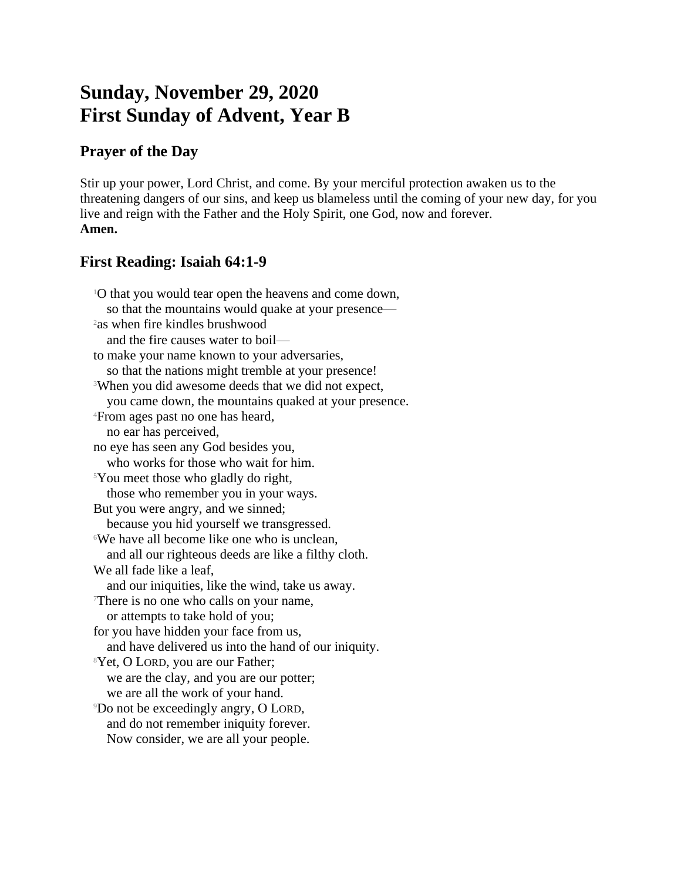# **Sunday, November 29, 2020 First Sunday of Advent, Year B**

## **Prayer of the Day**

Stir up your power, Lord Christ, and come. By your merciful protection awaken us to the threatening dangers of our sins, and keep us blameless until the coming of your new day, for you live and reign with the Father and the Holy Spirit, one God, now and forever. **Amen.**

## **First Reading: Isaiah 64:1-9**

<sup>1</sup>O that you would tear open the heavens and come down, so that the mountains would quake at your presence— <sup>2</sup>as when fire kindles brushwood and the fire causes water to boil to make your name known to your adversaries, so that the nations might tremble at your presence! <sup>3</sup>When you did awesome deeds that we did not expect, you came down, the mountains quaked at your presence. <sup>4</sup>From ages past no one has heard, no ear has perceived, no eye has seen any God besides you, who works for those who wait for him. <sup>5</sup>You meet those who gladly do right, those who remember you in your ways. But you were angry, and we sinned; because you hid yourself we transgressed. <sup>6</sup>We have all become like one who is unclean, and all our righteous deeds are like a filthy cloth. We all fade like a leaf, and our iniquities, like the wind, take us away. <sup>7</sup>There is no one who calls on your name, or attempts to take hold of you; for you have hidden your face from us, and have delivered us into the hand of our iniquity. <sup>8</sup>Yet, O LORD, you are our Father; we are the clay, and you are our potter; we are all the work of your hand. <sup>9</sup>Do not be exceedingly angry, O LORD, and do not remember iniquity forever. Now consider, we are all your people.